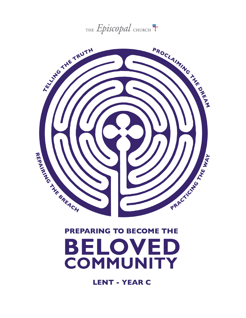



# **PREPARING TO BECOME THE**



**LENT - YEAR C**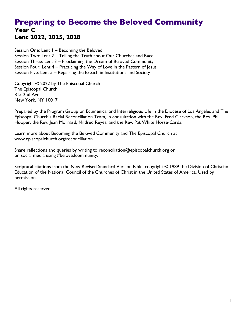# **Preparing to Become the Beloved Community Year C Lent 2022, 2025, 2028**

Session One: Lent 1 – Becoming the Beloved Session Two: Lent 2 – Telling the Truth about Our Churches and Race Session Three: Lent 3 – Proclaiming the Dream of Beloved Community Session Four: Lent 4 – Practicing the Way of Love in the Pattern of Jesus Session Five: Lent 5 – Repairing the Breach in Institutions and Society

Copyright © 2022 by The Episcopal Church The Episcopal Church 815 2nd Ave New York, NY 10017

Prepared by the Program Group on Ecumenical and Interreligious Life in the Diocese of Los Angeles and The Episcopal Church's Racial Reconciliation Team, in consultation with the Rev. Fred Clarkson, the Rev. Phil Hooper, the Rev. Jean Mornard, Mildred Reyes, and the Rev. Pat White Horse-Carda.

Learn more about Becoming the Beloved Community and The Episcopal Church at www.episcopalchurch.org/reconciliation.

Share reflections and queries by writing to reconciliation@episcopalchurch.org or on social media using #belovedcommunity.

Scriptural citations from the New Revised Standard Version Bible, copyright © 1989 the Division of Christian Education of the National Council of the Churches of Christ in the United States of America. Used by permission.

All rights reserved.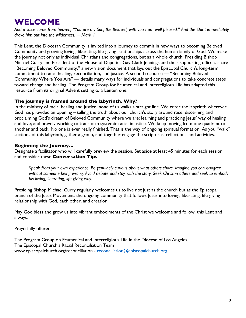# **WELCOME**

*And a voice came from heaven, "You are my Son, the Beloved; with you I am well pleased." And the Spirit immediately drove him out into the wilderness. —Mark 1*

This Lent, the Diocesan Community is invited into a journey to commit in new ways to becoming Beloved Community and growing loving, liberating, life-giving relationships across the human family of God. We make the journey not only as individual Christians and congregations, but as a whole church. Presiding Bishop Michael Curry and President of the House of Deputies Gay Clark Jennings and their supporting officers share "Becoming Beloved Community," a new vision document that lays out the Episcopal Church's long-term commitment to racial healing, reconciliation, and justice. A second resource — "Becoming Beloved Community Where You Are" — details many ways for individuals and congregations to take concrete steps toward change and healing. The Program Group for Ecumenical and Interreligious Life has adapted this resource from its original Advent setting to a Lenten one.

#### **The journey is framed around the labyrinth. Why?**

In the ministry of racial healing and justice, none of us walks a straight line. We enter the labyrinth wherever God has provided an opening – telling the truth about our church's story around race; discerning and proclaiming God's dream of Beloved Community where we are; learning and practicing Jesus' way of healing and love; and bravely working to transform systemic racial injustice. We keep moving from one quadrant to another and back. No one is ever really finished. That is the way of ongoing spiritual formation. As you "walk" sections of this labyrinth, gather a group, and together engage the scriptures, reflections, and activities.

## **Beginning the Journey…**

Designate a facilitator who will carefully preview the session. Set aside at least 45 minutes for each session, and consider these **Conversation Tips**:

*Speak from your own experience. Be genuinely curious about what others share. Imagine you can disagree without someone being wrong. Avoid debate and stay with the story. Seek Christ in others and seek to embody his loving, liberating, life-giving way.* 

Presiding Bishop Michael Curry regularly welcomes us to live not just as the church but as the Episcopal branch of the Jesus Movement: the ongoing community that follows Jesus into loving, liberating, life-giving relationship with God, each other, and creation.

May God bless and grow us into vibrant embodiments of the Christ we welcome and follow, this Lent and always.

Prayerfully offered,

The Program Group on Ecumenical and Interreligious Life in the Diocese of Los Angeles The Episcopal Church's Racial Reconciliation Team www.episcopalchurch.org/reconciliation - reconciliation@episcopalchurch.org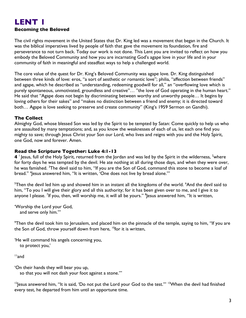# **LENT 1 Becoming the Beloved**

The civil rights movement in the United States that Dr. King led was a movement that began in the Church. It was the biblical imperatives lived by people of faith that gave the movement its foundation, fire and perseverance to not turn back. Today our work is not done. This Lent you are invited to reflect on how you embody the Beloved Community and how you are incarnating God's agape love in your life and in your community of faith in meaningful and steadfast ways to help a challenged world.

The core value of the quest for Dr. King's Beloved Community was agape love. Dr. King distinguished between three kinds of love: eros, "a sort of aesthetic or romantic love"; philia, "affection between friends" and agape, which he described as "understanding, redeeming goodwill for all," an "overflowing love which is purely spontaneous, unmotivated, groundless and creative"... "the love of God operating in the human heart." He said that "Agape does not begin by discriminating between worthy and unworthy people… It begins by loving others for their sakes" and "makes no distinction between a friend and enemy; it is directed toward both… Agape is love seeking to preserve and create community" (King's 1959 Sermon on Gandhi).

#### **The Collect**

Almighty God, whose blessed Son was led by the Spirit to be tempted by Satan: Come quickly to help us who are assaulted by many temptations; and, as you know the weaknesses of each of us, let each one find you mighty to save; through Jesus Christ your Son our Lord, who lives and reigns with you and the Holy Spirit, one God, now and forever. Amen.

#### **Read the Scripture Together: Luke 4:1-13**

 $4$   $^\circ$  Jesus, full of the Holy Spirit, returned from the Jordan and was led by the Spirit in the wilderness,  $^2$ where for forty days he was tempted by the devil. He ate nothing at all during those days, and when they were over, he was famished. <sup>3</sup>The devil said to him, ''If you are the Son of God, command this stone to become a loaf of bread." 4 Jesus answered him, "It is written, 'One does not live by bread alone.'"

 $^5$ Then the devil led him up and showed him in an instant all the kingdoms of the world.  $^6$ And the devil said to him, "To you I will give their glory and all this authority; for it has been given over to me, and I give it to anyone I please. <sup>7</sup>If you, then, will worship me, it will all be yours." <sup>8</sup>Jesus answered him, "It is written,

'Worship the Lord your God, and serve only him.'"

 $^9$ Then the devil took him to Jerusalem, and placed him on the pinnacle of the temple, saying to him, "If you are the Son of God, throw yourself down from here, <sup>10</sup>for it is written,

'He will command his angels concerning you, to protect you,'

11and

'On their hands they will bear you up, so that you will not dash your foot against a stone.'"

 $12$  esus answered him, "It is said, 'Do not put the Lord your God to the test.""  $13$  When the devil had finished every test, he departed from him until an opportune time.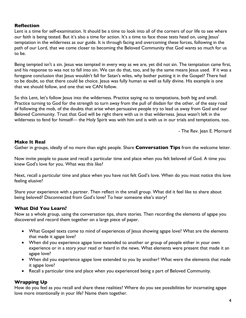#### **Reflection**

Lent is a time for self-examination. It should be a time to look into all of the corners of our life to see where our faith is being tested. But it's also a time for action. It's a time to face those tests head on, using Jesus' temptation in the wilderness as our guide. It is through facing and overcoming these forces, following in the path of our Lord, that we come closer to becoming the Beloved Community that God wants so much for us to be.

Being tempted isn't a sin. Jesus was tempted in every way as we are, yet did not sin. The temptation came first, and his response to was not to fall into sin. We can do that, too, and by the same means Jesus used. If it was a foregone conclusion that Jesus wouldn't fall for Satan's wiles, why bother putting it in the Gospel? There had to be doubt, so that there could be choice. Jesus was fully human as well as fully divine. His example is one that we should follow, and one that we CAN follow.

So this Lent, let's follow Jesus into the wilderness. Practice saying no to temptations, both big and small. Practice turning to God for the strength to turn away from the pull of disdain for the other, of the easy road of following the mob, of the doubts that arise when persuasive people try to lead us away from God and our Beloved Community. Trust that God will be right there with us in that wilderness. Jesus wasn't left in the wilderness to fend for himself— the Holy Spirit was with him and is with us in our trials and temptations, too.

- The Rev. Jean E. Mornard

#### **Make It Real**

Gather in groups, ideally of no more than eight people. Share **Conversation Tips** from the welcome letter.

Now invite people to pause and recall a particular time and place when you felt beloved of God. A time you knew God's love for you. What was this like?

Next, recall a particular time and place when you have not felt God's love. When do you most notice this love feeling elusive?

Share your experience with a partner. Then reflect in the small group. What did it feel like to share about being beloved? Disconnected from God's love? To hear someone else's story?

# **What Did You Learn?**

Now as a whole group, using the conversation tips, share stories. Then recording the elements of agape you discovered and record them together on a large piece of paper.

- What Gospel texts come to mind of experiences of Jesus showing agape love? What are the elements that made it agape love?
- When did you experience agape love extended to another or group of people either in your own experience or in a story your read or heard in the news. What elements were present that made it an agape love?
- When did you experience agape love extended to you by another? What were the elements that made it agape love?
- Recall a particular time and place when you experienced being a part of Beloved Community.

# **Wrapping Up**

How do you feel as you recall and share these realities? Where do you see possibilities for incarnating agape love more intentionally in your life? Name them together.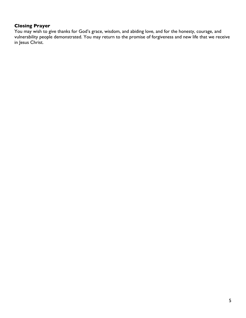# **Closing Prayer**

You may wish to give thanks for God's grace, wisdom, and abiding love, and for the honesty, courage, and vulnerability people demonstrated. You may return to the promise of forgiveness and new life that we receive in Jesus Christ.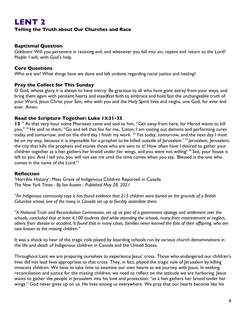#### **Telling the Truth about Our Churches and Race**

#### **Baptismal Question**

*Celebrant:* Will you persevere in resisting evil, and whenever you fall into sin, repent and return to the Lord? *People:* I will, with God's help.

#### **Core Questions**

Who are we? What things have we done and left undone regarding racial justice and healing?

#### **Pray the Collect for This Sunday**

O God, whose glory it is always to have mercy: Be gracious to all who have gone astray from your ways, and bring them again with penitent hearts and steadfast faith to embrace and hold fast the unchangeable truth of your Word, Jesus Christ your Son; who with you and the Holy Spirit lives and reigns, one God, for ever and ever. Amen.

#### **Read the Scripture Together: Luke 13:31-35**

13<sup>31</sup> At that very hour some Pharisees came and said to him, "Get away from here, for Herod wants to kill you." <sup>32</sup> He said to them, "Go and tell that fox for me, 'Listen, I am casting out demons and performing cures today and tomorrow, and on the third day I finish my work.<sup>33</sup> Yet today, tomorrow, and the next day I must be on my way, because it is impossible for a prophet to be killed outside of Jerusalem.<sup>'34</sup> Jerusalem, Jerusalem, the city that kills the prophets and stones those who are sent to it! How often have I desired to gather your children together as a hen gathers her brood under her wings, and you were not willing! <sup>35</sup> See, your house is left to you. And I tell you, you will not see me until the time comes when you say, 'Blessed is the one who comes in the name of the Lord.'"

#### **Reflection**

'Horrible History': Mass Grave of Indigenous Children Reported in Canada *The New York Times - By Ian Austen - Published May 28, 2021*

*"An Indigenous community says it has found evidence that 215 children were buried on the grounds of a British Columbia school, one of the many in Canada set up to forcibly assimilate them.*

*"A National Truth and Reconciliation Commission, set up as part of a government apology and settlement over the schools, concluded that at least 4,100 students died while attending the schools, many from mistreatment or neglect, others from disease or accident. It found that in many cases, families never learned the fate of their offspring, who are now known as the missing children."*

It was a shock to hear of the tragic role played by boarding schools run by various church denominations in the life and death of Indigenous children in Canada and the United States.

Throughout Lent we are preparing ourselves to experience Jesus' cross. Those who endangered our children's lives did not lead lives appropriate to that cross. They, in fact, played the tragic role of Jerusalem by killing innocent children. We have to take time to examine our own hearts as we journey with Jesus. In seeking reconciliation and justice for the missing children, we need to reflect on the attitude we are harboring. Jesus wants to gather the people in Jerusalem into his love and protection, "as a hen gathers her brood under her wings." God never gives up on us. He lives among us everywhere. We pray that our hearts become like his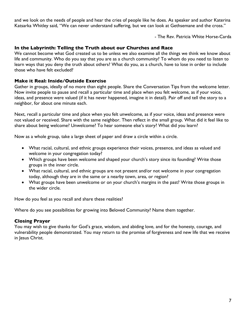and we look on the needs of people and hear the cries of people like he does. As speaker and author Katerina Katsarka Whitley said, "We can never understand suffering, but we can look at Gethsemane and the cross."

- The Rev. Patricia White Horse-Carda

#### **In the Labyrinth: Telling the Truth about our Churches and Race**

We cannot become what God created us to be unless we also examine all the things we think we know about life and community. Who do you say that you are as a church community? To whom do you need to listen to learn ways that you deny the truth about others? What do you, as a church, have to lose in order to include those who have felt excluded?

#### **Make it Real: Inside/Outside Exercise**

Gather in groups, ideally of no more than eight people. Share the Conversation Tips from the welcome letter. Now invite people to pause and recall a particular time and place when you felt welcome, as if your voice, ideas, and presence were valued (if it has never happened, imagine it in detail). Pair off and tell the story to a neighbor, for about one minute each.

Next, recall a particular time and place when you felt unwelcome, as if your voice, ideas and presence were not valued or received. Share with the same neighbor. Then reflect in the small group. What did it feel like to share about being welcome? Unwelcome? To hear someone else's story? What did you learn?

Now as a whole group, take a large sheet of paper and draw a circle within a circle.

- What racial, cultural, and ethnic groups experience their voices, presence, and ideas as valued and welcome in your congregation today?
- Which groups have been welcome and shaped your church's story since its founding? Write those groups in the inner circle.
- What racial, cultural, and ethnic groups are not present and/or not welcome in your congregation today, although they are in the same or a nearby town, area, or region?
- What groups have been unwelcome or on your church's margins in the past? Write those groups in the wider circle.

How do you feel as you recall and share these realities?

Where do you see possibilities for growing into Beloved Community? Name them together.

#### **Closing Prayer**

You may wish to give thanks for God's grace, wisdom, and abiding love, and for the honesty, courage, and vulnerability people demonstrated. You may return to the promise of forgiveness and new life that we receive in Jesus Christ.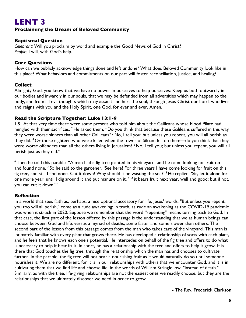## **Proclaiming the Dream of Beloved Community**

#### **Baptismal Question**

*Celebrant:* Will you proclaim by word and example the Good News of God in Christ? *People:* I will, with God's help.

#### **Core Questions**

How can we publicly acknowledge things done and left undone? What does Beloved Community look like in this place? What behaviors and commitments on our part will foster reconciliation, justice, and healing?

#### **Collect**

Almighty God, you know that we have no power in ourselves to help ourselves: Keep us both outwardly in our bodies and inwardly in our souls, that we may be defended from all adversities which may happen to the body, and from all evil thoughts which may assault and hurt the soul; through Jesus Christ our Lord, who lives and reigns with you and the Holy Spirit, one God, for ever and ever. Amen.

#### **Read the Scripture Together: Luke 13:1-9**

13<sup> $+$ </sup>At that very time there were some present who told him about the Galileans whose blood Pilate had mingled with their sacrifices. <sup>2</sup> He asked them, "Do you think that because these Galileans suffered in this way they were worse sinners than all other Galileans? <sup>3</sup> No, I tell you; but unless you repent, you will all perish as they did. <sup>4</sup> Or those eighteen who were killed when the tower of Siloam fell on them—do you think that they were worse offenders than all the others living in Jerusalem? <sup>5</sup> No, I tell you; but unless you repent, you will all perish just as they did."

<sup>6</sup> Then he told this parable: "A man had a fig tree planted in his vineyard; and he came looking for fruit on it and found none. <sup>7</sup> So he said to the gardener, 'See here! For three years I have come looking for fruit on this fig tree, and still I find none. Cut it down! Why should it be wasting the soil?' <sup>8</sup> He replied, 'Sir, let it alone for one more year, until I dig around it and put manure on it. <sup>9</sup> If it bears fruit next year, well and good; but if not, you can cut it down.'"

#### **Reflection**

In a world that sees faith as, perhaps, a nice optional accessory for life, Jesus' words, "But unless you repent, you too will all perish," come as a rude awakening: in truth, as rude an awakening as the COVID-19 pandemic was when it struck in 2020. Suppose we remember that the word "repenting" means turning back to God. In that case, the first part of the lesson offered by this passage is the understanding that we as human beings can choose between God and life, versus a myriad of deaths, some faster and some slower than others. The second part of the lesson from this passage comes from the man who takes care of the vineyard. This man is intimately familiar with every plant that grows there. He has developed a relationship of sorts with each plant, and he feels that he knows each one's potential. He intercedes on behalf of the fig tree and offers to do what is necessary to help it bear fruit. In short, he has a relationship with the tree and offers to help it grow. It is there that God touches the fig tree, through the relationship which the man has and chooses to cultivate further. In the parable, the fig tree will not bear a nourishing fruit as it would naturally do so until someone nourishes it. We are no different, for it is in our relationships with others that we encounter God, and it is in cultivating them that we find life and choose life, in the words of William Stringfellow, "instead of death." Similarly, as with the tree, life-giving relationships are not the easiest ones we readily choose, but they are the relationships that we ultimately discover we need in order to grow.

- The Rev. Frederick Clarkson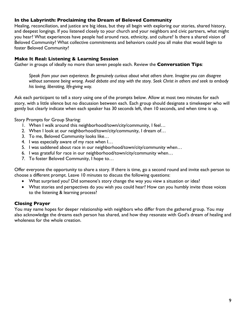#### **In the Labyrinth: Proclaiming the Dream of Beloved Community**

Healing, reconciliation, and justice are big ideas, but they all begin with exploring our stories, shared history, and deepest longings. If you listened closely to your church and your neighbors and civic partners, what might you hear? What experiences have people had around race, ethnicity, and culture? Is there a shared vision of Beloved Community? What collective commitments and behaviors could you all make that would begin to foster Beloved Community?

#### **Make It Real: Listening & Learning Session**

Gather in groups of ideally no more than seven people each. Review the **Conversation Tips**:

*Speak from your own experience. Be genuinely curious about what others share. Imagine you can disagree without someone being wrong. Avoid debate and stay with the story. Seek Christ in others and seek to embody his loving, liberating, life-giving way.*

Ask each participant to tell a story using one of the prompts below. Allow at most two minutes for each story, with a little silence but no discussion between each. Each group should designate a timekeeper who will gently but clearly indicate when each speaker has 30 seconds left, then 10 seconds, and when time is up.

Story Prompts for Group Sharing:

- 1. When I walk around this neighborhood/town/city/community, I feel…
- 2. When I look at our neighborhood/town/city/community, I dream of…
- 3. To me, Beloved Community looks like…
- 4. I was especially aware of my race when I…
- 5. I was saddened about race in our neighborhood/town/city/community when…
- 6. I was grateful for race in our neighborhood/town/city/community when…
- 7. To foster Beloved Community, I hope to…

Offer everyone the opportunity to share a story. If there is time, go a second round and invite each person to choose a different prompt. Leave 10 minutes to discuss the following questions:

- What surprised you? Did someone's story change the way you view a situation or idea?
- What stories and perspectives do you wish you could hear? How can you humbly invite those voices to the listening & learning process?

## **Closing Prayer**

You may name hopes for deeper relationship with neighbors who differ from the gathered group. You may also acknowledge the dreams each person has shared, and how they resonate with God's dream of healing and wholeness for the whole creation.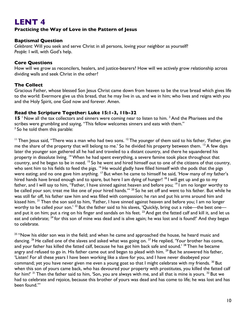## **Practicing the Way of Love in the Pattern of Jesus**

#### **Baptismal Question**

*Celebrant:* Will you seek and serve Christ in all persons, loving your neighbor as yourself? *People:* I will, with God's help.

#### **Core Questions**

How will we grow as reconcilers, healers, and justice-bearers? How will we actively grow relationship across dividing walls and seek Christ in the other?

#### **The Collect**

Gracious Father, whose blessed Son Jesus Christ came down from heaven to be the true bread which gives life to the world: Evermore give us this bread, that he may live in us, and we in him; who lives and reigns with you and the Holy Spirit, one God now and forever. Amen.

#### **Read the Scripture Together: Luke 15:1-3, 11b-32**

**15** <sup>1</sup> Now all the tax collectors and sinners were coming near to listen to him. <sup>2</sup> And the Pharisees and the scribes were grumbling and saying, "This fellow welcomes sinners and eats with them."  $3$  So he told them this parable:

<sup>11</sup> Then Jesus said, "There was a man who had two sons. <sup>12</sup> The younger of them said to his father, 'Father, give me the share of the property that will belong to me.' So he divided his property between them. <sup>13</sup> A few days later the younger son gathered all he had and traveled to a distant country, and there he squandered his property in dissolute living. <sup>14</sup> When he had spent everything, a severe famine took place throughout that country, and he began to be in need. <sup>15</sup> So he went and hired himself out to one of the citizens of that country, who sent him to his fields to feed the pigs. <sup>16</sup> He would gladly have filled himself with the pods that the pigs were eating; and no one gave him anything. <sup>17</sup> But when he came to himself he said, 'How many of my father's hired hands have bread enough and to spare, but here I am dying of hunger! <sup>18</sup> I will get up and go to my father, and I will say to him, "Father, I have sinned against heaven and before you; <sup>19</sup> I am no longer worthy to be called your son; treat me like one of your hired hands."" <sup>20</sup> So he set off and went to his father. But while he was still far off, his father saw him and was filled with compassion; he ran and put his arms around him and kissed him. <sup>21</sup> Then the son said to him, 'Father, I have sinned against heaven and before you; I am no longer worthy to be called your son.' <sup>22</sup> But the father said to his slaves, 'Quickly, bring out a robe—the best one and put it on him; put a ring on his finger and sandals on his feet.  $^{23}$  And get the fatted calf and kill it, and let us eat and celebrate; <sup>24</sup> for this son of mine was dead and is alive again; he was lost and is found!' And they began to celebrate.

<sup>25</sup> "Now his elder son was in the field; and when he came and approached the house, he heard music and dancing. <sup>26</sup> He called one of the slaves and asked what was going on. <sup>27</sup> He replied, 'Your brother has come, and your father has killed the fatted calf, because he has got him back safe and sound.<sup>' 28</sup> Then he became angry and refused to go in. His father came out and began to plead with him. <sup>29</sup> But he answered his father, 'Listen! For all these years I have been working like a slave for you, and I have never disobeyed your command; yet you have never given me even a young goat so that I might celebrate with my friends. <sup>30</sup> But when this son of yours came back, who has devoured your property with prostitutes, you killed the fatted calf for him!' <sup>31</sup> Then the father said to him, 'Son, you are always with me, and all that is mine is yours. <sup>32</sup> But we had to celebrate and rejoice, because this brother of yours was dead and has come to life; he was lost and has been found.'"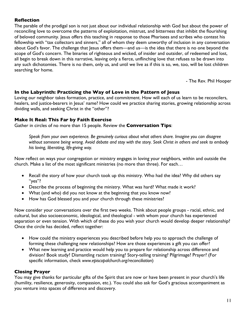# **Reflection**

The parable of the prodigal son is not just about our individual relationship with God but about the power of reconciling love to overcome the patterns of exploitation, mistrust, and bitterness that inhibit the flourishing of beloved community. Jesus offers this teaching in response to those Pharisees and scribes who contest his fellowship with "tax collectors and sinners," all of whom they deem unworthy of inclusion in any conversation about God's favor. The challenge that Jesus offers them—and us—is the idea that there is no one beyond the scope of God's concern. The binaries of righteous and wicked, of insider and outsider, of redeemed and lost, all begin to break down in this narrative, leaving only a fierce, unflinching love that refuses to be drawn into any such dichotomies. There is no them, only us, and until we live as if this is so, we, too, will be lost children searching for home.

- The Rev. Phil Hooper

#### **In the Labyrinth: Practicing the Way of Love in the Pattern of Jesus**

Loving our neighbor takes formation, practice, and commitment. How will each of us learn to be reconcilers, healers, and justice-bearers in Jesus' name? How could we practice sharing stories, growing relationship across dividing walls, and seeking Christ in the "other"?

#### **Make It Real: This Far by Faith Exercise**

Gather in circles of no more than 15 people. Review the **Conversation Tips**:

*Speak from your own experience. Be genuinely curious about what others share. Imagine you can disagree without someone being wrong. Avoid debate and stay with the story. Seek Christ in others and seek to embody his loving, liberating, life-giving way.*

Now reflect on ways your congregation or ministry engages in loving your neighbors, within and outside the church. Make a list of the most significant ministries (no more than three). For each…

- Recall the story of how your church took up this ministry. Who had the idea? Why did others say "yes"?
- Describe the process of beginning the ministry. What was hard? What made it work?
- What (and who) did you not know at the beginning that you know now?
- How has God blessed you and your church through these ministries?

Now consider your conversations over the first two weeks. Think about people groups - racial, ethnic, and cultural, but also socioeconomic, ideological, and theological - with whom your church has experienced separation or even tension. With which of these do you wish your church would develop deeper relationship? Once the circle has decided, reflect together:

- How could the ministry experiences you described before help you to approach the challenge of forming these challenging new relationships? How are those experiences a gift you can offer?
- What new learning and practice would help you to prepare for relationship across difference and division? Book study? Dismantling racism training? Story-telling training? Pilgrimage? Prayer? (For specific information, check *www.episcopalchurch.org/reconciliation*)

#### **Closing Prayer**

You may give thanks for particular gifts of the Spirit that are now or have been present in your church's life (humility, resilience, generosity, compassion, etc.). You could also ask for God's gracious accompaniment as you venture into spaces of difference and discovery.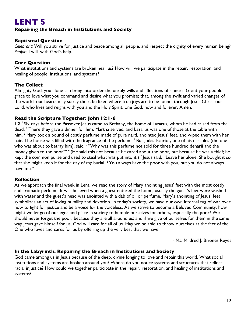# **Repairing the Breach in Institutions and Society**

# **Baptismal Question**

*Celebrant:* Will you strive for justice and peace among all people, and respect the dignity of every human being? *People:* I will, with God's help.

# **Core Question**

What institutions and systems are broken near us? How will we participate in the repair, restoration, and healing of people, institutions, and systems?

# **The Collect**

Almighty God, you alone can bring into order the unruly wills and affections of sinners: Grant your people grace to love what you command and desire what you promise; that, among the swift and varied changes of the world, our hearts may surely there be fixed where true joys are to be found; through Jesus Christ our Lord, who lives and reigns with you and the Holy Spirit, one God, now and forever. Amen.

#### **Read the Scripture Together: John 12:1-8**

**12** <sup>1</sup> Six days before the Passover Jesus came to Bethany, the home of Lazarus, whom he had raised from the dead. <sup>2</sup> There they gave a dinner for him. Martha served, and Lazarus was one of those at the table with him. <sup>3</sup> Mary took a pound of costly perfume made of pure nard, anointed Jesus' feet, and wiped them with her hair. The house was filled with the fragrance of the perfume. <sup>4</sup> But Judas Iscariot, one of his disciples (the one who was about to betray him), said, <sup>5 "</sup>Why was this perfume not sold for three hundred denarii and the money given to the poor?" <sup>6</sup> (He said this not because he cared about the poor, but because he was a thief; he kept the common purse and used to steal what was put into it.)  $^7$  Jesus said, "Leave her alone. She bought it so that she might keep it for the day of my burial. <sup>8</sup> You always have the poor with you, but you do not always have me."

## **Reflection**

As we approach the final week in Lent, we read the story of Mary anointing Jesus' feet with the most costly and aromatic perfume. It was believed when a guest entered the home, usually the guest's feet were washed with water and the guest's head was anointed with a dab of oil or perfume. Mary's anointing of Jesus' feet symbolizes an act of loving humility and devotion. In today's society, we have our own internal tug of war over how to fight for justice and be a voice for the voiceless. As we strive to become a Beloved Community, how might we let go of our egos and place in society to humble ourselves for others, especially the poor? We should never forget the poor, because they are all around us; and if we give of ourselves for them in the same way Jesus gave himself for us, God will care for all of us. May we be able to throw ourselves at the feet of the One who loves and cares for us by offering up the very best that we have.

- Ms. Mildred J. Briones Reyes

## **In the Labyrinth: Repairing the Breach in Institutions and Society**

God came among us in Jesus because of the deep, divine longing to love and repair this world. What social institutions and systems are broken around you? Where do you notice systems and structures that reflect racial injustice? How could we together participate in the repair, restoration, and healing of institutions and systems?